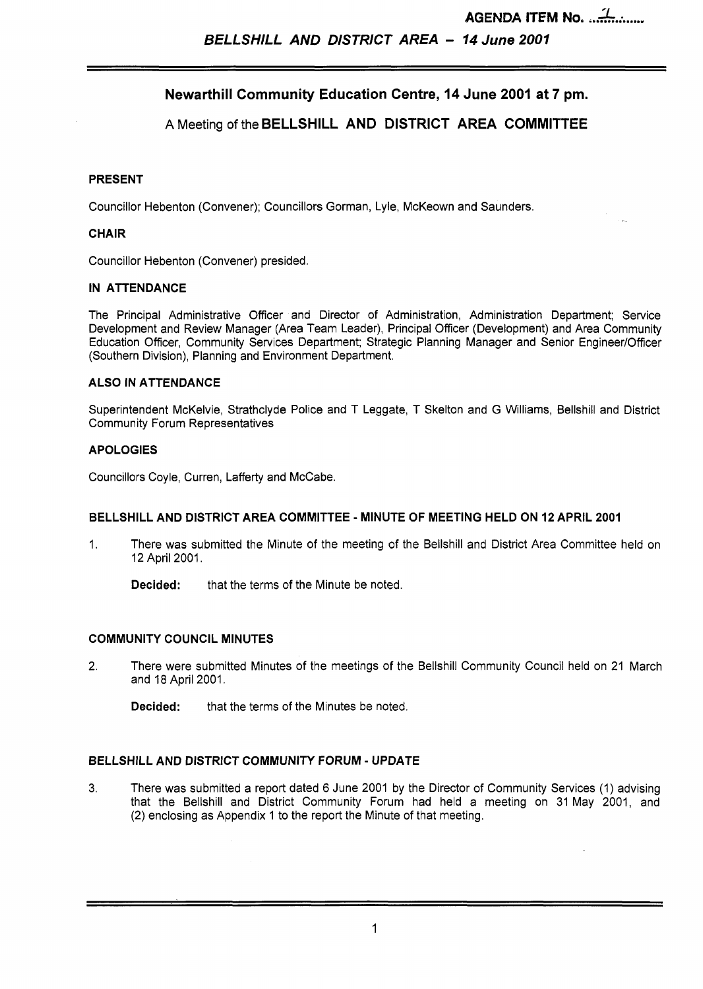**AGENDA ITEM No.**  $\frac{1}{2}$ 

# **Newarthill Community Education Centre, 14 June 2001 at 7 pm.**

## A Meeting of the **BELLSHILL AND DISTRICT AREA COMMITTEE**

#### **PRESENT**

Councillor Hebenton (Convener); Councillors Gorman, Lyle, McKeown and Saunders.

#### **CHAIR**

Councillor Hebenton (Convener) presided.

#### **IN ATTENDANCE**

The Principal Administrative Officer and Director of Administration, Administration Department; Service Development and Review Manager (Area Team Leader), Principal Officer (Development) and Area Community Education Officer, Community Services Department; Strategic Planning Manager and Senior EngineerlOfficer (Southern Division), Planning and Environment Department.

#### **ALSO IN ATTENDANCE**

Superintendent McKelvie, Strathclyde Police and T Leggate, T Skelton and G Williams, Bellshill and District Community Forum Representatives

#### **APOLOGIES**

Councillors Coyle, Curren, Lafferty and McCabe.

#### **BELLSHILL AND DISTRICT AREA COMMITTEE** - **MINUTE OF MEETING HELD ON 12 APRIL 2001**

1. There was submitted the Minute of the meeting of the Bellshill and District Area Committee held on 12 April 2001.

**Decided:** that the terms of the Minute be noted.

### **COMMUNITY COUNCIL MINUTES**

2. There were submitted Minutes of the meetings of the Bellshill Community Council held on 21 March and 18 April 2001.

**Decided:** that the terms of the Minutes be noted.

### **BELLSHILL AND DISTRICT COMMUNITY FORUM** - **UPDATE**

**3.** There was submitted a report dated 6 June 2001 by the Director of Community Services (1) advising that the Bellshill and District Community Forum had held a meeting on 31 May 2001, and (2) enclosing as Appendix 1 to the report the Minute of that meeting.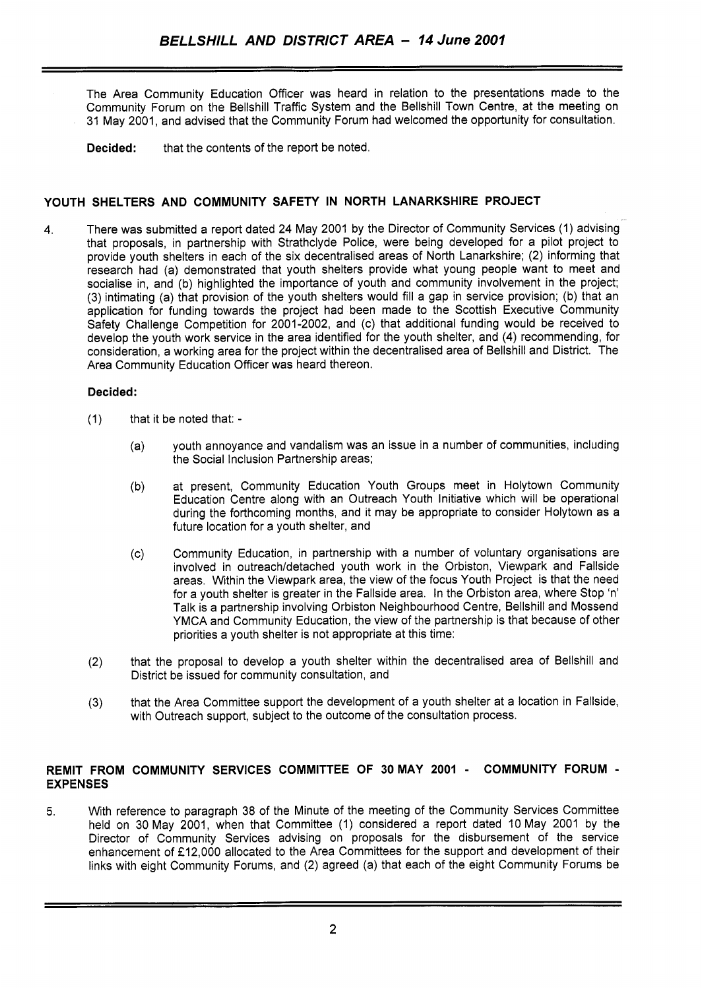- The Area Community Education Officer was heard in relation to the presentations made to the Community Forum on the Bellshill Traffic System and the Bellshill Town Centre, at the meeting on **31** May **2001,** and advised that the Community Forum had welcomed the opportunity for consultation.
	- **Decided:** that the contents of the report be noted.

## **YOUTH SHELTERS AND COMMUNITY SAFETY IN NORTH LANARKSHIRE PROJECT**

**4.** There was submitted a report dated **24** May **2001** by the Director of Community Services **(1)** advising that proposals, in partnership with Strathclyde Police, were being developed for a pilot project to provide youth shelters in each of the six decentralised areas of North Lanarkshire; (2) informing that research had (a) demonstrated that youth shelters provide what young people want to meet and socialise in, and (b) highlighted the importance of youth and community involvement in the project; **(3)** intimating (a) that provision of the youth shelters would fill a gap in service provision; (b) that an application for funding towards the project had been made to the Scottish Executive Community Safety Challenge Competition for **2001 -2002,** and (c) that additional funding would be received to develop the youth work service in the area identified for the youth shelter, and **(4)** recommending, for consideration, a working area for the project within the decentralised area of Bellshill and District. The Area Community Education Officer was heard thereon.

### **Decided:**

- **(1)** that it be noted that:
	- (a) youth annoyance and vandalism was an issue in a number of communities, including the Social Inclusion Partnership areas;
	- (b) at present, Community Education Youth Groups meet in Holytown Community Education Centre along with an Outreach Youth Initiative which will be operational during the forthcoming months, and it may be appropriate to consider Holytown as a future location for a youth shelter, and
	- (c) Community Education, in partnership with a number of voluntary organisations are involved in outreach/detached youth work in the Orbiston, Viewpark and Fallside areas. Within the Viewpark area, the view of the focus Youth Project is that the need for a youth shelter is greater in the Fallside area. In the Orbiston area, where Stop 'n' Talk is a partnership involving Orbiston Neighbourhood Centre, Bellshill and Mossend YMCA and Community Education, the view of the partnership is that because of other priorities a youth shelter is not appropriate at this time:
- (2) that the proposal to develop a youth shelter within the decentralised area of Bellshill and District be issued for community consultation, and
- **(3)** that the Area Committee support the development of a youth shelter at a location in Fallside, with Outreach support, subject to the outcome of the consultation process.

### **REMIT FROM COMMUNITY SERVICES COMMITTEE OF 30MAY 2001** - **COMMUNITY FORUM** - **EXPENSES**

5. With reference to paragraph **38** of the Minute of the meeting of the Community Services Committee held on **30** May **2001,** when that Committee **(1)** considered a report dated **10** May **2001** by the Director of Community Services advising on proposals for the disbursement of the service enhancement of **f12,000** allocated to the Area Committees for the support and development of their links with eight Community Forums, and **(2)** agreed (a) that each of the eight Community Forums be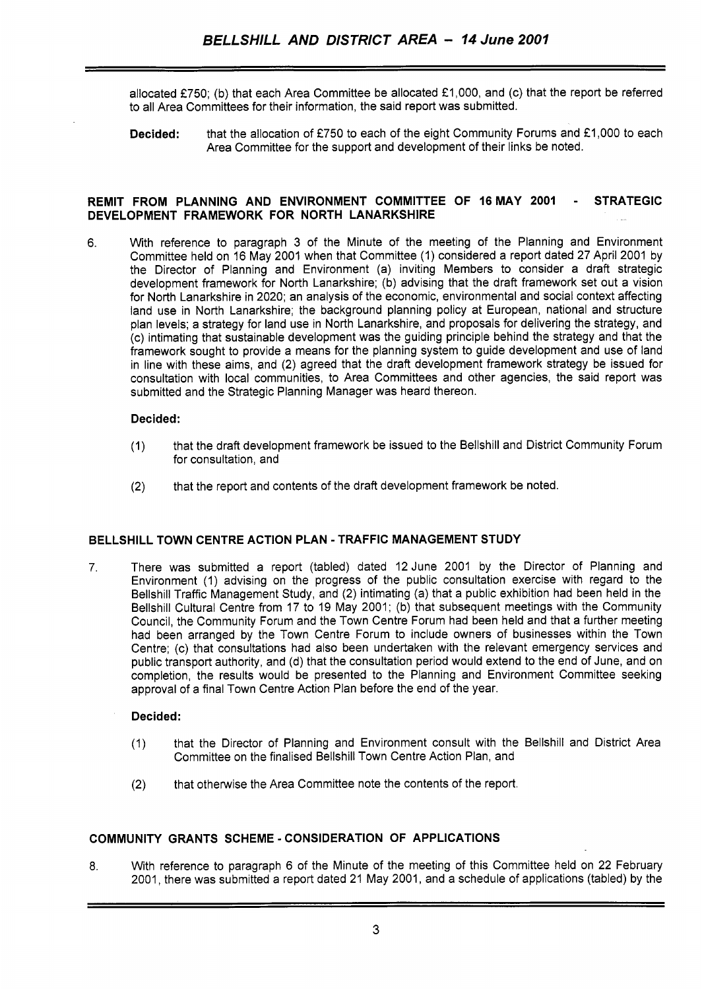allocated **f750;** (b) that each Area Committee be allocated **€1,000,** and (c) that the report be referred to all Area Committees for their information, the said report was submitted.

**Decided:** that the allocation of £750 to each of the eight Community Forums and £1,000 to each Area Committee for the support and development of their links be noted.

#### **REMIT FROM PLANNING AND ENVIRONMENT COMMITTEE OF 16MAY 2001** - **STRATEGIC DEVELOPMENT FRAMEWORK FOR NORTH LANARKSHIRE**

6. With reference to paragraph 3 of the Minute of the meeting of the Planning and Environment Committee held on 16 May **2001** when that Committee (1) considered a report dated **27** April **2001** by the Director of Planning and Environment (a) inviting Members to consider a draft strategic development framework for North Lanarkshire; (b) advising that the draft framework set out a vision for North Lanarkshire in **2020;** an analysis of the economic, environmental and social context affecting land use in North Lanarkshire; the background planning policy at European, national and structure plan levels; a strategy for land use in North Lanarkshire, and proposals for delivering the strategy, and (c) intimating that sustainable development was the guiding principle behind the strategy and that the framework sought to provide a means for the planning system to guide development and use of land in line with these aims, and **(2)** agreed that the draft development framework strategy be issued for consultation with local communities, to Area Committees and other agencies, the said report was submitted and the Strategic Planning Manager was heard thereon.

#### **Decided:**

- **(1)** that the draft development framework be issued to the Bellshill and District Community Forum for consultation, and
- **(2)** that the report and contents of the draft development framework be noted.

## **BELLSHILL TOWN CENTRE ACTION PLAN** - **TRAFFIC MANAGEMENT STUDY**

7. There was submitted a report (tabled) dated **12** June **2001** by the Director of Planning and Environment (1) advising on the progress of the public consultation exercise with regard to the Bellshill Traffic Management Study, and **(2)** intimating (a) that a public exhibition had been held in the Bellshill Cultural Centre from **17** to **19** May **2001;** (b) that subsequent meetings with the Community Council, the Community Forum and the Town Centre Forum had been held and that a further meeting had been arranged by the Town Centre Forum to include owners of businesses within the Town Centre; (c) that consultations had also been undertaken with the relevant emergency services and public transport authority, and (d) that the consultation period would extend to the end of June, and on completion, the results would be presented to the Planning and Environment Committee seeking approval of a final Town Centre Action Plan before the end of the year.

### **Decided:**

- (1) that the Director of Planning and Environment consult with the Bellshill and District Area Committee on the finalised Bellshill Town Centre Action Plan, and
- **(2)** that otherwise the Area Committee note the contents of the report.

### **COMMUNITY GRANTS SCHEME** - **CONSIDERATION OF APPLICATIONS**

**8.** With reference to paragraph 6 of the Minute of the meeting of this Committee held on **22** February **2001,** there was submitted a report dated **21** May **2001,** and a schedule of applications (tabled) by the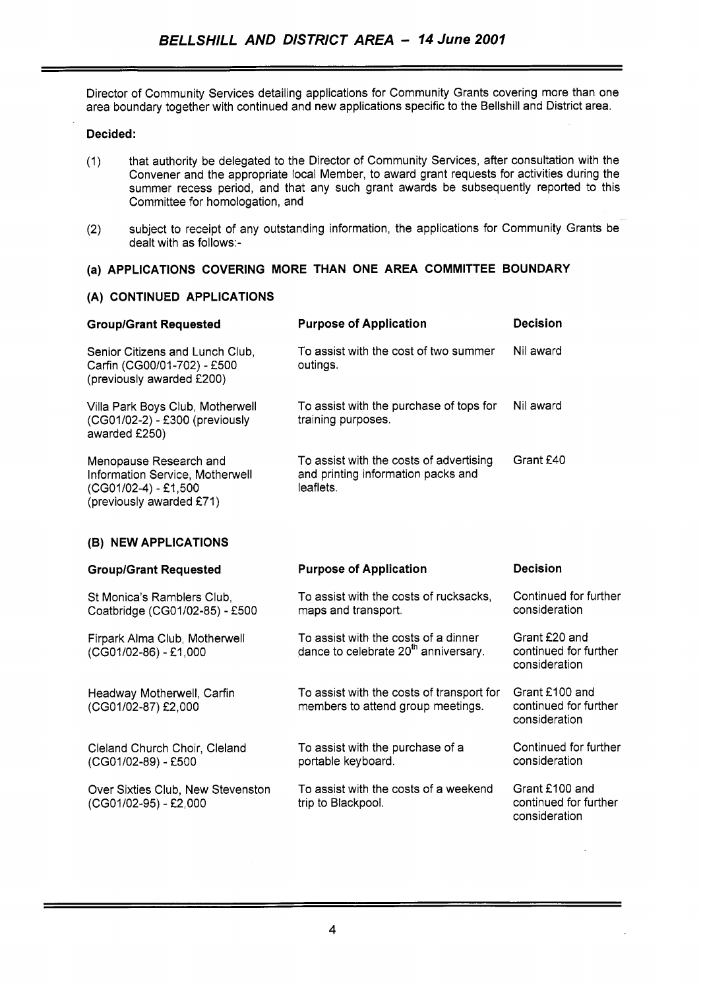Director of Community Services detailing applications for Community Grants covering more than one area boundary together with continued and new applications specific to the Bellshill and District area.

### **Decided:**

- (1) that authority be delegated to the Director of Community Services, after consultation with the Convener and the appropriate local Member, to award grant requests for activities during the summer recess period, and that any such grant awards be subsequently reported to this Committee for homologation, and
- subject to receipt of any outstanding information, the applications for Community Grants be (2) subject to receipt of a<br>dealt with as follows:-

# **(a) APPLICATIONS COVERING MORE THAN ONE AREA COMMITTEE BOUNDARY**

### **(A) CONTINUED APPLICATIONS**

| <b>Group/Grant Requested</b>                                                                                    | <b>Purpose of Application</b>                                                              | <b>Decision</b> |
|-----------------------------------------------------------------------------------------------------------------|--------------------------------------------------------------------------------------------|-----------------|
| Senior Citizens and Lunch Club.<br>Carfin (CG00/01-702) - £500<br>(previously awarded £200)                     | To assist with the cost of two summer<br>outings.                                          | Nil award       |
| Villa Park Boys Club, Motherwell<br>(CG01/02-2) - £300 (previously<br>awarded £250)                             | To assist with the purchase of tops for<br>training purposes.                              | Nil award       |
| Menopause Research and<br>Information Service, Motherwell<br>$(CG01/02-4) - £1,500$<br>(previously awarded £71) | To assist with the costs of advertising<br>and printing information packs and<br>leaflets. | Grant £40       |

## **(B) NEW APPLICATIONS**

| <b>Group/Grant Requested</b>                                 | <b>Purpose of Application</b>                                                            | <b>Decision</b>                                          |
|--------------------------------------------------------------|------------------------------------------------------------------------------------------|----------------------------------------------------------|
| St Monica's Ramblers Club,<br>Coatbridge (CG01/02-85) - £500 | To assist with the costs of rucksacks,<br>maps and transport.                            | Continued for further<br>consideration                   |
| Firpark Alma Club, Motherwell<br>(CG01/02-86) - £1,000       | To assist with the costs of a dinner<br>dance to celebrate 20 <sup>th</sup> anniversary. | Grant £20 and<br>continued for further<br>consideration  |
| Headway Motherwell, Carfin<br>(CG01/02-87) £2,000            | To assist with the costs of transport for<br>members to attend group meetings.           | Grant £100 and<br>continued for further<br>consideration |
| Cleland Church Choir, Cleland<br>(CG01/02-89) - £500         | To assist with the purchase of a<br>portable keyboard.                                   | Continued for further<br>consideration                   |
| Over Sixties Club, New Stevenston<br>(CG01/02-95) - £2,000   | To assist with the costs of a weekend<br>trip to Blackpool.                              | Grant £100 and<br>continued for further<br>consideration |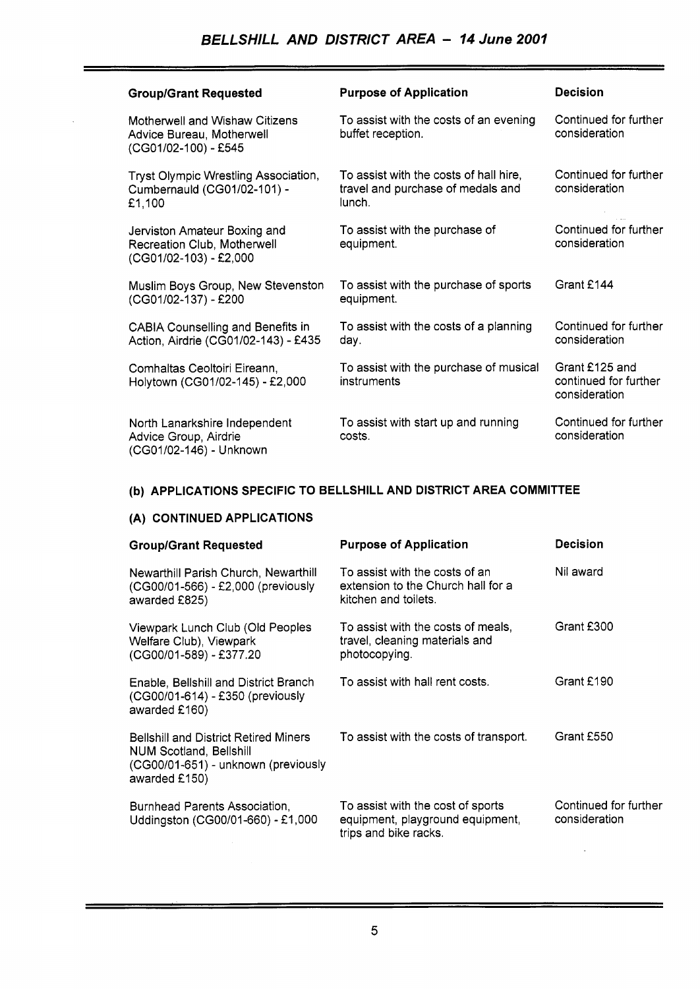| <b>Group/Grant Requested</b>                                                          | <b>Purpose of Application</b>                                                         | <b>Decision</b>                                          |
|---------------------------------------------------------------------------------------|---------------------------------------------------------------------------------------|----------------------------------------------------------|
| Motherwell and Wishaw Citizens<br>Advice Bureau, Motherwell<br>(CG01/02-100) - £545   | To assist with the costs of an evening<br>buffet reception.                           | Continued for further<br>consideration                   |
| Tryst Olympic Wrestling Association,<br>Cumbernauld (CG01/02-101) -<br>£1,100         | To assist with the costs of hall hire,<br>travel and purchase of medals and<br>lunch. | Continued for further<br>consideration                   |
| Jerviston Amateur Boxing and<br>Recreation Club, Motherwell<br>(CG01/02-103) - £2,000 | To assist with the purchase of<br>equipment.                                          | Continued for further<br>consideration                   |
| Muslim Boys Group, New Stevenston<br>(CG01/02-137) - £200                             | To assist with the purchase of sports<br>equipment.                                   | Grant £144                                               |
| <b>CABIA Counselling and Benefits in</b><br>Action, Airdrie (CG01/02-143) - £435      | To assist with the costs of a planning<br>day.                                        | Continued for further<br>consideration                   |
| Comhaltas Ceoltoiri Eireann,<br>Holytown (CG01/02-145) - £2,000                       | To assist with the purchase of musical<br>instruments                                 | Grant £125 and<br>continued for further<br>consideration |
| North Lanarkshire Independent<br>Advice Group, Airdrie<br>(CG01/02-146) - Unknown     | To assist with start up and running<br>costs.                                         | Continued for further<br>consideration                   |

### **(b) APPLICATIONS SPECIFIC TO BELLSHILL AND DISTRICT AREA COMMITTEE**

# **(A) CONTINUED APPLICATIONS**

 $\overline{a}$ 

| <b>Group/Grant Requested</b>                                                                                                           | <b>Purpose of Application</b>                                                                  | <b>Decision</b>                        |
|----------------------------------------------------------------------------------------------------------------------------------------|------------------------------------------------------------------------------------------------|----------------------------------------|
| Newarthill Parish Church, Newarthill<br>(CG00/01-566) - £2,000 (previously<br>awarded £825)                                            | To assist with the costs of an<br>extension to the Church hall for a<br>kitchen and toilets.   | Nil award                              |
| Viewpark Lunch Club (Old Peoples<br>Welfare Club), Viewpark<br>(CG00/01-589) - £377.20                                                 | To assist with the costs of meals,<br>travel, cleaning materials and<br>photocopying.          | Grant £300                             |
| Enable, Bellshill and District Branch<br>(CG00/01-614) - £350 (previously<br>awarded £160)                                             | To assist with hall rent costs.                                                                | Grant £190                             |
| <b>Bellshill and District Retired Miners</b><br><b>NUM Scotland, Bellshill</b><br>(CG00/01-651) - unknown (previously<br>awarded £150) | To assist with the costs of transport.                                                         | Grant £550                             |
| Burnhead Parents Association,<br>Uddingston (CG00/01-660) - £1,000                                                                     | To assist with the cost of sports<br>equipment, playground equipment,<br>trips and bike racks. | Continued for further<br>consideration |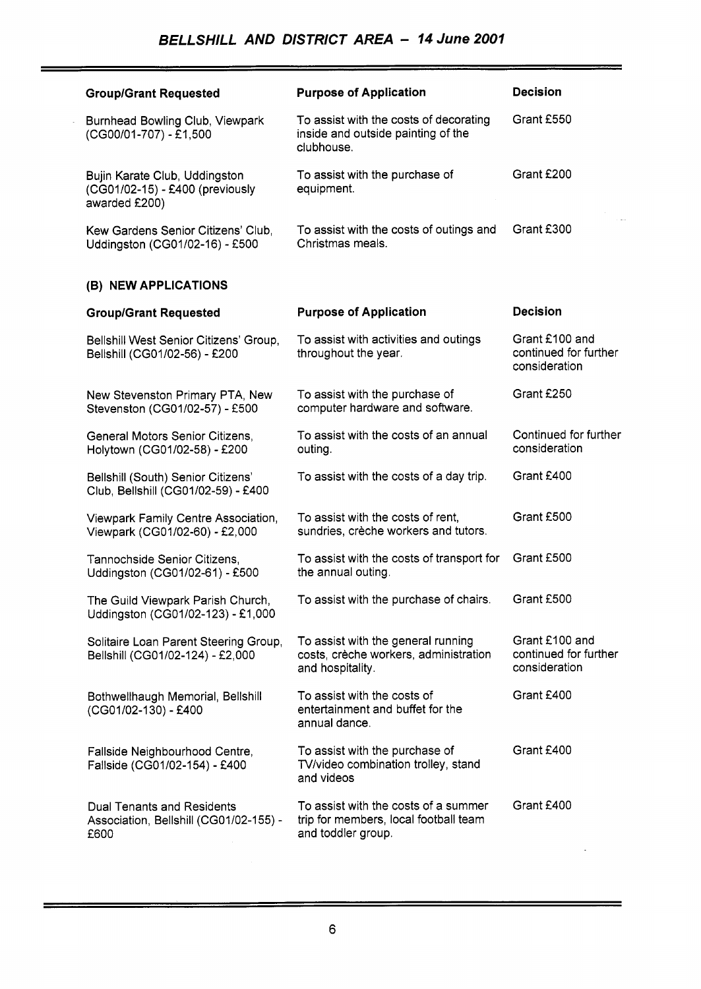| <b>Group/Grant Requested</b>                                                        | <b>Purpose of Application</b>                                                                       | <b>Decision</b>                                          |
|-------------------------------------------------------------------------------------|-----------------------------------------------------------------------------------------------------|----------------------------------------------------------|
| Burnhead Bowling Club, Viewpark<br>(CG00/01-707) - £1,500                           | To assist with the costs of decorating<br>inside and outside painting of the<br>clubhouse.          | Grant £550                                               |
| Bujin Karate Club, Uddingston<br>(CG01/02-15) - £400 (previously<br>awarded £200)   | To assist with the purchase of<br>equipment.                                                        | Grant £200                                               |
| Kew Gardens Senior Citizens' Club,<br>Uddingston (CG01/02-16) - £500                | To assist with the costs of outings and<br>Christmas meals.                                         | Grant £300                                               |
| (B) NEW APPLICATIONS                                                                |                                                                                                     |                                                          |
| <b>Group/Grant Requested</b>                                                        | <b>Purpose of Application</b>                                                                       | <b>Decision</b>                                          |
| Bellshill West Senior Citizens' Group,<br>Bellshill (CG01/02-56) - £200             | To assist with activities and outings<br>throughout the year.                                       | Grant £100 and<br>continued for further<br>consideration |
| New Stevenston Primary PTA, New<br>Stevenston (CG01/02-57) - £500                   | To assist with the purchase of<br>computer hardware and software.                                   | Grant £250                                               |
| General Motors Senior Citizens,<br>Holytown (CG01/02-58) - £200                     | To assist with the costs of an annual<br>outing.                                                    | Continued for further<br>consideration                   |
| Bellshill (South) Senior Citizens'<br>Club, Bellshill (CG01/02-59) - £400           | To assist with the costs of a day trip.                                                             | Grant £400                                               |
| Viewpark Family Centre Association,<br>Viewpark (CG01/02-60) - £2,000               | To assist with the costs of rent,<br>sundries, crèche workers and tutors.                           | Grant £500                                               |
| Tannochside Senior Citizens,<br>Uddingston (CG01/02-61) - £500                      | To assist with the costs of transport for<br>the annual outing.                                     | Grant £500                                               |
| The Guild Viewpark Parish Church,<br>Uddingston (CG01/02-123) - £1,000              | To assist with the purchase of chairs.                                                              | Grant £500                                               |
| Solitaire Loan Parent Steering Group,<br>Bellshill (CG01/02-124) - £2,000           | To assist with the general running<br>costs, crèche workers, administration<br>and hospitality.     | Grant £100 and<br>continued for further<br>consideration |
| Bothwellhaugh Memorial, Bellshill<br>(CG01/02-130) - £400                           | To assist with the costs of<br>entertainment and buffet for the<br>annual dance.                    | Grant £400                                               |
| Fallside Neighbourhood Centre,<br>Fallside (CG01/02-154) - £400                     | To assist with the purchase of<br>TV/video combination trolley, stand<br>and videos                 | Grant £400                                               |
| <b>Dual Tenants and Residents</b><br>Association, Bellshill (CG01/02-155) -<br>£600 | To assist with the costs of a summer<br>trip for members, local football team<br>and toddler group. | Grant £400                                               |